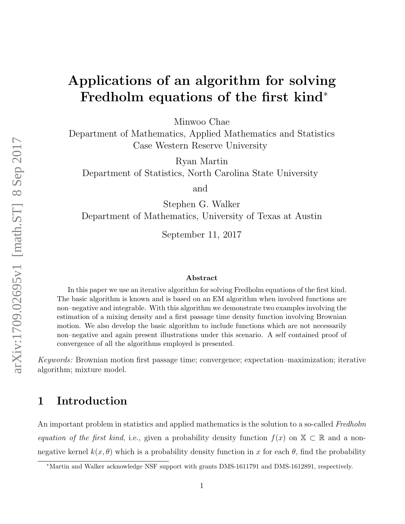# Applications of an algorithm for solving Fredholm equations of the first kind<sup>∗</sup>

Minwoo Chae

Department of Mathematics, Applied Mathematics and Statistics Case Western Reserve University

Ryan Martin

Department of Statistics, North Carolina State University

and

Stephen G. Walker Department of Mathematics, University of Texas at Austin

September 11, 2017

#### Abstract

In this paper we use an iterative algorithm for solving Fredholm equations of the first kind. The basic algorithm is known and is based on an EM algorithm when involved functions are non–negative and integrable. With this algorithm we demonstrate two examples involving the estimation of a mixing density and a first passage time density function involving Brownian motion. We also develop the basic algorithm to include functions which are not necessarily non–negative and again present illustrations under this scenario. A self contained proof of convergence of all the algorithms employed is presented.

Keywords: Brownian motion first passage time; convergence; expectation–maximization; iterative algorithm; mixture model.

# 1 Introduction

An important problem in statistics and applied mathematics is the solution to a so-called Fredholm equation of the first kind, i.e., given a probability density function  $f(x)$  on  $\mathbb{X} \subset \mathbb{R}$  and a nonnegative kernel  $k(x, \theta)$  which is a probability density function in x for each  $\theta$ , find the probability

<sup>∗</sup>Martin and Walker acknowledge NSF support with grants DMS-1611791 and DMS-1612891, respectively.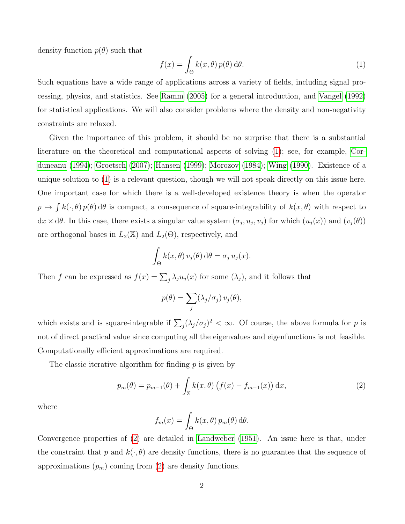density function  $p(\theta)$  such that

<span id="page-1-0"></span>
$$
f(x) = \int_{\Theta} k(x,\theta) p(\theta) d\theta.
$$
 (1)

Such equations have a wide range of applications across a variety of fields, including signal processing, physics, and statistics. See [Ramm \(2005\)](#page-20-0) for a general introduction, and [Vangel \(1992\)](#page-20-1) for statistical applications. We will also consider problems where the density and non-negativity constraints are relaxed.

Given the importance of this problem, it should be no surprise that there is a substantial literature on the theoretical and computational aspects of solving [\(1\)](#page-1-0); see, for example, [Cor](#page-19-0)[duneanu \(1994\)](#page-19-0); [Groetsch \(2007\)](#page-19-1); [Hansen \(1999\)](#page-19-2); [Morozov \(1984\)](#page-20-2); [Wing \(1990\)](#page-21-0). Existence of a unique solution to [\(1\)](#page-1-0) is a relevant question, though we will not speak directly on this issue here. One important case for which there is a well-developed existence theory is when the operator  $p \mapsto \int k(\cdot,\theta) p(\theta) d\theta$  is compact, a consequence of square-integrability of  $k(x,\theta)$  with respect to  $dx \times d\theta$ . In this case, there exists a singular value system  $(\sigma_j, u_j, v_j)$  for which  $(u_j(x))$  and  $(v_j(\theta))$ are orthogonal bases in  $L_2(\mathbb{X})$  and  $L_2(\Theta)$ , respectively, and

$$
\int_{\Theta} k(x,\theta) v_j(\theta) d\theta = \sigma_j u_j(x).
$$

Then f can be expressed as  $f(x) = \sum_j \lambda_j u_j(x)$  for some  $(\lambda_j)$ , and it follows that

$$
p(\theta) = \sum_j (\lambda_j/\sigma_j) v_j(\theta),
$$

which exists and is square-integrable if  $\sum_j (\lambda_j/\sigma_j)^2 < \infty$ . Of course, the above formula for p is not of direct practical value since computing all the eigenvalues and eigenfunctions is not feasible. Computationally efficient approximations are required.

The classic iterative algorithm for finding  $p$  is given by

<span id="page-1-1"></span>
$$
p_m(\theta) = p_{m-1}(\theta) + \int_{\mathbb{X}} k(x, \theta) \left( f(x) - f_{m-1}(x) \right) dx,
$$
 (2)

where

$$
f_m(x) = \int_{\Theta} k(x,\theta) p_m(\theta) d\theta.
$$

Convergence properties of [\(2\)](#page-1-1) are detailed in [Landweber \(1951\)](#page-19-3). An issue here is that, under the constraint that p and  $k(\cdot, \theta)$  are density functions, there is no guarantee that the sequence of approximations  $(p_m)$  coming from  $(2)$  are density functions.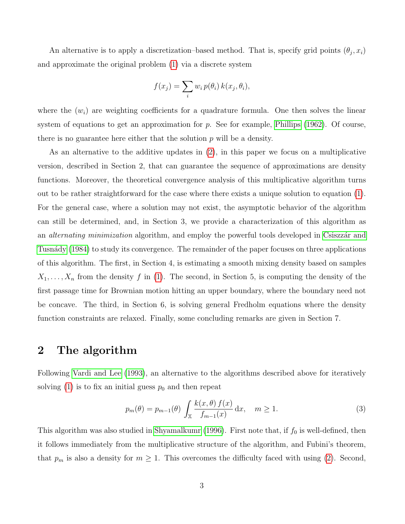An alternative is to apply a discretization-based method. That is, specify grid points  $(\theta_j, x_i)$ and approximate the original problem [\(1\)](#page-1-0) via a discrete system

$$
f(x_j) = \sum_i w_i p(\theta_i) k(x_j, \theta_i),
$$

where the  $(w_i)$  are weighting coefficients for a quadrature formula. One then solves the linear system of equations to get an approximation for  $p$ . See for example, [Phillips \(1962\)](#page-20-3). Of course, there is no guarantee here either that the solution  $p$  will be a density.

As an alternative to the additive updates in [\(2\)](#page-1-1), in this paper we focus on a multiplicative version, described in Section 2, that can guarantee the sequence of approximations are density functions. Moreover, the theoretical convergence analysis of this multiplicative algorithm turns out to be rather straightforward for the case where there exists a unique solution to equation [\(1\)](#page-1-0). For the general case, where a solution may not exist, the asymptotic behavior of the algorithm can still be determined, and, in Section 3, we provide a characterization of this algorithm as an *alternating minimization* algorithm, and employ the powerful tools developed in Csiszzar and Tusnády (1984) to study its convergence. The remainder of the paper focuses on three applications of this algorithm. The first, in Section 4, is estimating a smooth mixing density based on samples  $X_1, \ldots, X_n$  from the density f in [\(1\)](#page-1-0). The second, in Section 5, is computing the density of the first passage time for Brownian motion hitting an upper boundary, where the boundary need not be concave. The third, in Section 6, is solving general Fredholm equations where the density function constraints are relaxed. Finally, some concluding remarks are given in Section 7.

### 2 The algorithm

Following [Vardi and Lee \(1993\)](#page-21-1), an alternative to the algorithms described above for iteratively solving [\(1\)](#page-1-0) is to fix an initial guess  $p_0$  and then repeat

<span id="page-2-0"></span>
$$
p_m(\theta) = p_{m-1}(\theta) \int_{\mathbb{X}} \frac{k(x,\theta) f(x)}{f_{m-1}(x)} dx, \quad m \ge 1.
$$
 (3)

This algorithm was also studied in [Shyamalkumr \(1996\)](#page-20-4). First note that, if  $f_0$  is well-defined, then it follows immediately from the multiplicative structure of the algorithm, and Fubini's theorem, that  $p_m$  is also a density for  $m \geq 1$ . This overcomes the difficulty faced with using [\(2\)](#page-1-1). Second,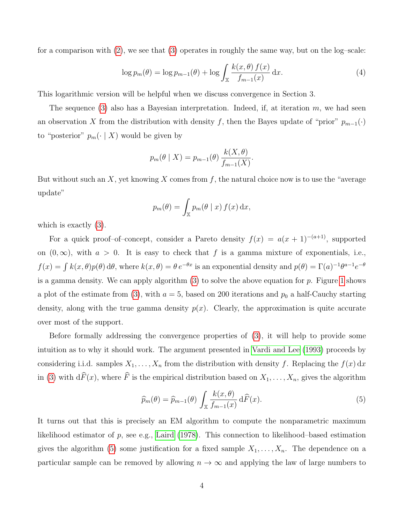for a comparison with [\(2\)](#page-1-1), we see that [\(3\)](#page-2-0) operates in roughly the same way, but on the log–scale:

<span id="page-3-1"></span>
$$
\log p_m(\theta) = \log p_{m-1}(\theta) + \log \int_{\mathbb{X}} \frac{k(x,\theta) f(x)}{f_{m-1}(x)} dx.
$$
\n(4)

This logarithmic version will be helpful when we discuss convergence in Section 3.

The sequence [\(3\)](#page-2-0) also has a Bayesian interpretation. Indeed, if, at iteration  $m$ , we had seen an observation X from the distribution with density f, then the Bayes update of "prior"  $p_{m-1}(\cdot)$ to "posterior"  $p_m(\cdot | X)$  would be given by

$$
p_m(\theta \mid X) = p_{m-1}(\theta) \frac{k(X, \theta)}{f_{m-1}(X)}.
$$

But without such an X, yet knowing X comes from f, the natural choice now is to use the "average" update"

$$
p_m(\theta) = \int_{\mathbb{X}} p_m(\theta \mid x) f(x) \, \mathrm{d}x,
$$

which is exactly [\(3\)](#page-2-0).

For a quick proof–of–concept, consider a Pareto density  $f(x) = a(x + 1)^{-(a+1)}$ , supported on  $(0, \infty)$ , with  $a > 0$ . It is easy to check that f is a gamma mixture of exponentials, i.e.,  $f(x) = \int k(x, \theta) p(\theta) d\theta$ , where  $k(x, \theta) = \theta e^{-\theta x}$  is an exponential density and  $p(\theta) = \Gamma(a)^{-1} \theta^{a-1} e^{-\theta}$ is a gamma density. We can apply algorithm  $(3)$  to solve the above equation for p. Figure [1](#page-4-0) shows a plot of the estimate from [\(3\)](#page-2-0), with  $a = 5$ , based on 200 iterations and  $p_0$  a half-Cauchy starting density, along with the true gamma density  $p(x)$ . Clearly, the approximation is quite accurate over most of the support.

Before formally addressing the convergence properties of [\(3\)](#page-2-0), it will help to provide some intuition as to why it should work. The argument presented in [Vardi and Lee \(1993\)](#page-21-1) proceeds by considering i.i.d. samples  $X_1, \ldots, X_n$  from the distribution with density f. Replacing the  $f(x) dx$ in [\(3\)](#page-2-0) with  $d\widehat{F}(x)$ , where  $\widehat{F}$  is the empirical distribution based on  $X_1, \ldots, X_n$ , gives the algorithm

<span id="page-3-0"></span>
$$
\widehat{p}_m(\theta) = \widehat{p}_{m-1}(\theta) \int_{\mathbb{X}} \frac{k(x,\theta)}{f_{m-1}(x)} d\widehat{F}(x).
$$
\n(5)

It turns out that this is precisely an EM algorithm to compute the nonparametric maximum likelihood estimator of  $p$ , see e.g., [Laird \(1978\)](#page-19-5). This connection to likelihood–based estimation gives the algorithm [\(5\)](#page-3-0) some justification for a fixed sample  $X_1, \ldots, X_n$ . The dependence on a particular sample can be removed by allowing  $n \to \infty$  and applying the law of large numbers to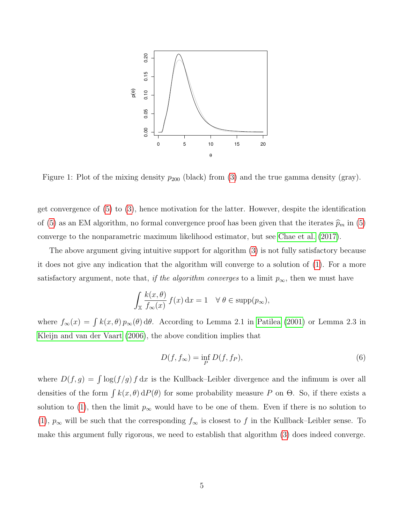

<span id="page-4-0"></span>Figure 1: Plot of the mixing density  $p_{200}$  (black) from [\(3\)](#page-2-0) and the true gamma density (gray).

get convergence of [\(5\)](#page-3-0) to [\(3\)](#page-2-0), hence motivation for the latter. However, despite the identification of [\(5\)](#page-3-0) as an EM algorithm, no formal convergence proof has been given that the iterates  $\widehat{p}_m$  in (5) converge to the nonparametric maximum likelihood estimator, but see [Chae et al. \(2017\)](#page-19-6).

The above argument giving intuitive support for algorithm [\(3\)](#page-2-0) is not fully satisfactory because it does not give any indication that the algorithm will converge to a solution of [\(1\)](#page-1-0). For a more satisfactory argument, note that, if the algorithm converges to a limit  $p_{\infty}$ , then we must have

$$
\int_{\mathbb{X}} \frac{k(x,\theta)}{f_{\infty}(x)} f(x) dx = 1 \quad \forall \ \theta \in \text{supp}(p_{\infty}),
$$

where  $f_{\infty}(x) = \int k(x,\theta) p_{\infty}(\theta) d\theta$ . According to Lemma 2.1 in [Patilea \(2001\)](#page-20-5) or Lemma 2.3 in [Kleijn and van der Vaart \(2006\)](#page-19-7), the above condition implies that

<span id="page-4-1"></span>
$$
D(f, f_{\infty}) = \inf_{P} D(f, f_{P}),
$$
\n(6)

where  $D(f,g) = \int \log(f/g) f dx$  is the Kullback–Leibler divergence and the infimum is over all densities of the form  $\int k(x, \theta) dP(\theta)$  for some probability measure P on  $\Theta$ . So, if there exists a solution to [\(1\)](#page-1-0), then the limit  $p_{\infty}$  would have to be one of them. Even if there is no solution to [\(1\)](#page-1-0),  $p_{\infty}$  will be such that the corresponding  $f_{\infty}$  is closest to f in the Kullback–Leibler sense. To make this argument fully rigorous, we need to establish that algorithm [\(3\)](#page-2-0) does indeed converge.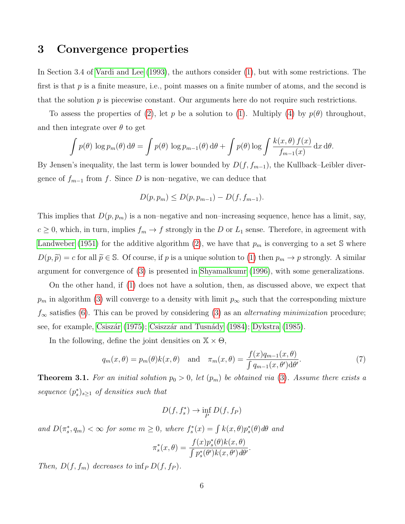# 3 Convergence properties

In Section 3.4 of [Vardi and Lee \(1993\)](#page-21-1), the authors consider [\(1\)](#page-1-0), but with some restrictions. The first is that  $p$  is a finite measure, i.e., point masses on a finite number of atoms, and the second is that the solution  $p$  is piecewise constant. Our arguments here do not require such restrictions.

To assess the properties of [\(2\)](#page-1-1), let p be a solution to [\(1\)](#page-1-0). Multiply [\(4\)](#page-3-1) by  $p(\theta)$  throughout, and then integrate over  $\theta$  to get

$$
\int p(\theta) \log p_m(\theta) d\theta = \int p(\theta) \log p_{m-1}(\theta) d\theta + \int p(\theta) \log \int \frac{k(x,\theta) f(x)}{f_{m-1}(x)} dx d\theta.
$$

By Jensen's inequality, the last term is lower bounded by  $D(f, f_{m-1})$ , the Kullback–Leibler divergence of  $f_{m-1}$  from f. Since D is non–negative, we can deduce that

$$
D(p, p_m) \le D(p, p_{m-1}) - D(f, f_{m-1}).
$$

This implies that  $D(p, p_m)$  is a non-negative and non-increasing sequence, hence has a limit, say,  $c \ge 0$ , which, in turn, implies  $f_m \to f$  strongly in the D or  $L_1$  sense. Therefore, in agreement with [Landweber \(1951\)](#page-19-3) for the additive algorithm [\(2\)](#page-1-1), we have that  $p_m$  is converging to a set S where  $D(p, \tilde{p}) = c$  for all  $\tilde{p} \in \mathbb{S}$ . Of course, if p is a unique solution to [\(1\)](#page-1-0) then  $p_m \to p$  strongly. A similar argument for convergence of [\(3\)](#page-2-0) is presented in [Shyamalkumr \(1996\)](#page-20-4), with some generalizations.

On the other hand, if [\(1\)](#page-1-0) does not have a solution, then, as discussed above, we expect that  $p_m$  in algorithm [\(3\)](#page-2-0) will converge to a density with limit  $p_{\infty}$  such that the corresponding mixture  $f_{\infty}$  satisfies [\(6\)](#page-4-1). This can be proved by considering [\(3\)](#page-2-0) as an *alternating minimization* procedure; see, for example, Csiszár (1975); Csiszzár and Tusnády (1984); [Dykstra \(1985\)](#page-19-9).

In the following, define the joint densities on  $\mathbb{X} \times \Theta$ ,

<span id="page-5-0"></span>
$$
q_m(x,\theta) = p_m(\theta)k(x,\theta) \quad \text{and} \quad \pi_m(x,\theta) = \frac{f(x)q_{m-1}(x,\theta)}{\int q_{m-1}(x,\theta')d\theta'}.\tag{7}
$$

**Theorem 3.1.** For an initial solution  $p_0 > 0$ , let  $(p_m)$  be obtained via [\(3\)](#page-2-0). Assume there exists a sequence  $(p_s^*)_{s\geq 1}$  of densities such that

$$
D(f, f_s^*) \to \inf_P D(f, f_P)
$$

and  $D(\pi_s^*, q_m) < \infty$  for some  $m \geq 0$ , where  $f_s^*(x) = \int k(x, \theta) p_s^*(\theta) d\theta$  and

$$
\pi_s^*(x,\theta) = \frac{f(x)p_s^*(\theta)k(x,\theta)}{\int p_s^*(\theta')k(x,\theta')d\theta'}.
$$

Then,  $D(f, f_m)$  decreases to  $\inf_P D(f, f_P)$ .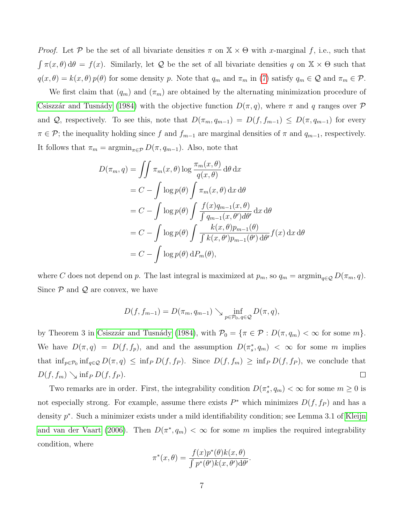*Proof.* Let P be the set of all bivariate densities  $\pi$  on  $X \times \Theta$  with x-marginal f, i.e., such that  $\int \pi(x,\theta) d\theta = f(x)$ . Similarly, let Q be the set of all bivariate densities q on  $\mathbb{X} \times \Theta$  such that  $q(x, \theta) = k(x, \theta) p(\theta)$  for some density p. Note that  $q_m$  and  $\pi_m$  in [\(7\)](#page-5-0) satisfy  $q_m \in \mathcal{Q}$  and  $\pi_m \in \mathcal{P}$ .

We first claim that  $(q_m)$  and  $(\pi_m)$  are obtained by the alternating minimization procedure of Csiszzár and Tusnády (1984) with the objective function  $D(\pi, q)$ , where  $\pi$  and q ranges over  $\mathcal P$ and Q, respectively. To see this, note that  $D(\pi_m, q_{m-1}) = D(f, f_{m-1}) \leq D(\pi, q_{m-1})$  for every  $\pi \in \mathcal{P}$ ; the inequality holding since f and  $f_{m-1}$  are marginal densities of  $\pi$  and  $q_{m-1}$ , respectively. It follows that  $\pi_m = \operatorname{argmin}_{\pi \in \mathcal{P}} D(\pi, q_{m-1})$ . Also, note that

$$
D(\pi_m, q) = \iint \pi_m(x, \theta) \log \frac{\pi_m(x, \theta)}{q(x, \theta)} d\theta dx
$$
  
=  $C - \int \log p(\theta) \int \pi_m(x, \theta) dx d\theta$   
=  $C - \int \log p(\theta) \int \frac{f(x)q_{m-1}(x, \theta)}{\int q_{m-1}(x, \theta') d\theta'} dx d\theta$   
=  $C - \int \log p(\theta) \int \frac{k(x, \theta)p_{m-1}(\theta)}{\int k(x, \theta')p_{m-1}(\theta') d\theta'} f(x) dx d\theta$   
=  $C - \int \log p(\theta) dP_m(\theta),$ 

where C does not depend on p. The last integral is maximized at  $p_m$ , so  $q_m = \operatorname{argmin}_{q \in \mathcal{Q}} D(\pi_m, q)$ . Since  $P$  and  $Q$  are convex, we have

$$
D(f, f_{m-1}) = D(\pi_m, q_{m-1}) \searrow \inf_{p \in \mathcal{P}_0, q \in \mathcal{Q}} D(\pi, q),
$$

by Theorem 3 in Csiszzár and Tusnády (1984), with  $\mathcal{P}_0 = {\pi \in \mathcal{P} : D(\pi, q_m) < \infty \text{ for some } m}$ . We have  $D(\pi, q) = D(f, f_p)$ , and and the assumption  $D(\pi_s^*, q_m) < \infty$  for some m implies that  $\inf_{p \in \mathcal{P}_0} \inf_{q \in \mathcal{Q}} D(\pi, q) \leq \inf_P D(f, f_P)$ . Since  $D(f, f_m) \geq \inf_P D(f, f_P)$ , we conclude that  $D(f, f_m) \searrow \inf_{P} D(f, f_P).$  $\Box$ 

Two remarks are in order. First, the integrability condition  $D(\pi_s^*, q_m) < \infty$  for some  $m \geq 0$  is not especially strong. For example, assume there exists  $P^*$  which minimizes  $D(f, f_P)$  and has a density  $p^*$ . Such a minimizer exists under a mild identifiability condition; see Lemma 3.1 of [Kleijn](#page-19-7) [and van der Vaart \(2006\)](#page-19-7). Then  $D(\pi^*, q_m) < \infty$  for some m implies the required integrability condition, where

$$
\pi^*(x,\theta) = \frac{f(x)p^*(\theta)k(x,\theta)}{\int p^*(\theta')k(x,\theta')d\theta'}.
$$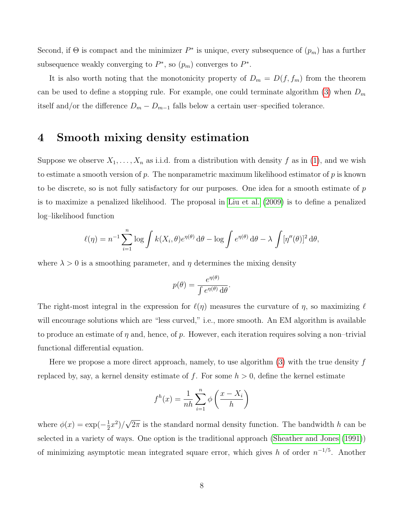Second, if  $\Theta$  is compact and the minimizer  $P^*$  is unique, every subsequence of  $(p_m)$  has a further subsequence weakly converging to  $P^*$ , so  $(p_m)$  converges to  $P^*$ .

It is also worth noting that the monotonicity property of  $D_m = D(f, f_m)$  from the theorem can be used to define a stopping rule. For example, one could terminate algorithm [\(3\)](#page-2-0) when  $D_m$ itself and/or the difference  $D_m - D_{m-1}$  falls below a certain user–specified tolerance.

## 4 Smooth mixing density estimation

Suppose we observe  $X_1, \ldots, X_n$  as i.i.d. from a distribution with density f as in [\(1\)](#page-1-0), and we wish to estimate a smooth version of  $p$ . The nonparametric maximum likelihood estimator of  $p$  is known to be discrete, so is not fully satisfactory for our purposes. One idea for a smooth estimate of  $p$ is to maximize a penalized likelihood. The proposal in [Liu et al. \(2009\)](#page-19-10) is to define a penalized log–likelihood function

$$
\ell(\eta) = n^{-1} \sum_{i=1}^{n} \log \int k(X_i, \theta) e^{\eta(\theta)} d\theta - \log \int e^{\eta(\theta)} d\theta - \lambda \int [\eta''(\theta)]^2 d\theta,
$$

where  $\lambda > 0$  is a smoothing parameter, and  $\eta$  determines the mixing density

$$
p(\theta) = \frac{e^{\eta(\theta)}}{\int e^{\eta(\theta)} d\theta}.
$$

The right-most integral in the expression for  $\ell(\eta)$  measures the curvature of  $\eta$ , so maximizing  $\ell$ will encourage solutions which are "less curved," i.e., more smooth. An EM algorithm is available to produce an estimate of  $\eta$  and, hence, of p. However, each iteration requires solving a non–trivial functional differential equation.

Here we propose a more direct approach, namely, to use algorithm  $(3)$  with the true density f replaced by, say, a kernel density estimate of f. For some  $h > 0$ , define the kernel estimate

$$
f^{h}(x) = \frac{1}{nh} \sum_{i=1}^{n} \phi\left(\frac{x - X_i}{h}\right)
$$

where  $\phi(x) = \exp(-\frac{1}{2})$  $(\frac{1}{2}x^2)$ / √  $2\pi$  is the standard normal density function. The bandwidth h can be selected in a variety of ways. One option is the traditional approach [\(Sheather and Jones \(1991\)](#page-20-6)) of minimizing asymptotic mean integrated square error, which gives h of order  $n^{-1/5}$ . Another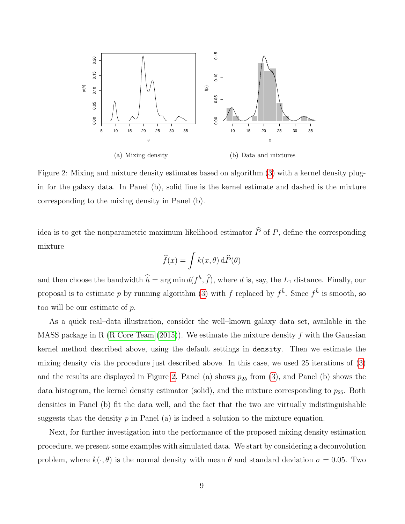

<span id="page-8-0"></span>Figure 2: Mixing and mixture density estimates based on algorithm [\(3\)](#page-2-0) with a kernel density plugin for the galaxy data. In Panel (b), solid line is the kernel estimate and dashed is the mixture corresponding to the mixing density in Panel (b).

idea is to get the nonparametric maximum likelihood estimator  $\widehat{P}$  of P, define the corresponding mixture

$$
\widehat{f}(x) = \int k(x, \theta) \, d\widehat{P}(\theta)
$$

and then choose the bandwidth  $\hat{h} = \arg \min d(f^h, \hat{f})$ , where d is, say, the  $L_1$  distance. Finally, our proposal is to estimate p by running algorithm [\(3\)](#page-2-0) with f replaced by  $f^{\hat{h}}$ . Since  $f^{\hat{h}}$  is smooth, so too will be our estimate of p.

As a quick real–data illustration, consider the well–known galaxy data set, available in the MASS package in R (R Core Team  $(2015)$ ). We estimate the mixture density f with the Gaussian kernel method described above, using the default settings in density. Then we estimate the mixing density via the procedure just described above. In this case, we used 25 iterations of [\(3\)](#page-2-0) and the results are displayed in Figure [2.](#page-8-0) Panel (a) shows  $p_{25}$  from [\(3\)](#page-2-0), and Panel (b) shows the data histogram, the kernel density estimator (solid), and the mixture corresponding to  $p_{25}$ . Both densities in Panel (b) fit the data well, and the fact that the two are virtually indistinguishable suggests that the density  $p$  in Panel (a) is indeed a solution to the mixture equation.

Next, for further investigation into the performance of the proposed mixing density estimation procedure, we present some examples with simulated data. We start by considering a deconvolution problem, where  $k(\cdot, \theta)$  is the normal density with mean  $\theta$  and standard deviation  $\sigma = 0.05$ . Two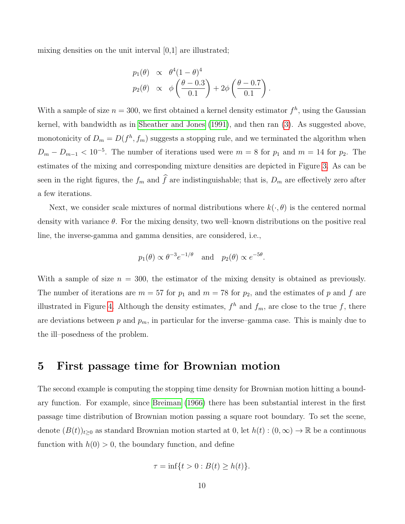mixing densities on the unit interval [0,1] are illustrated;

$$
p_1(\theta) \propto \theta^4 (1-\theta)^4
$$
  
\n
$$
p_2(\theta) \propto \phi \left(\frac{\theta - 0.3}{0.1}\right) + 2\phi \left(\frac{\theta - 0.7}{0.1}\right).
$$

With a sample of size  $n = 300$ , we first obtained a kernel density estimator  $f<sup>h</sup>$ , using the Gaussian kernel, with bandwidth as in [Sheather and Jones \(1991\)](#page-20-6), and then ran [\(3\)](#page-2-0). As suggested above, monotonicity of  $D_m = D(f^h, f_m)$  suggests a stopping rule, and we terminated the algorithm when  $D_m - D_{m-1} < 10^{-5}$ . The number of iterations used were  $m = 8$  for  $p_1$  and  $m = 14$  for  $p_2$ . The estimates of the mixing and corresponding mixture densities are depicted in Figure [3.](#page-10-0) As can be seen in the right figures, the  $f_m$  and  $\widehat{f}$  are indistinguishable; that is,  $D_m$  are effectively zero after a few iterations.

Next, we consider scale mixtures of normal distributions where  $k(\cdot, \theta)$  is the centered normal density with variance  $\theta$ . For the mixing density, two well–known distributions on the positive real line, the inverse-gamma and gamma densities, are considered, i.e.,

$$
p_1(\theta) \propto \theta^{-3} e^{-1/\theta}
$$
 and  $p_2(\theta) \propto e^{-5\theta}$ .

With a sample of size  $n = 300$ , the estimator of the mixing density is obtained as previously. The number of iterations are  $m = 57$  for  $p_1$  and  $m = 78$  for  $p_2$ , and the estimates of p and f are illustrated in Figure [4.](#page-11-0) Although the density estimates,  $f^h$  and  $f_m$ , are close to the true f, there are deviations between  $p$  and  $p_m$ , in particular for the inverse–gamma case. This is mainly due to the ill–posedness of the problem.

### 5 First passage time for Brownian motion

The second example is computing the stopping time density for Brownian motion hitting a boundary function. For example, since [Breiman \(1966\)](#page-19-11) there has been substantial interest in the first passage time distribution of Brownian motion passing a square root boundary. To set the scene, denote  $(B(t))_{t\geq0}$  as standard Brownian motion started at 0, let  $h(t) : (0,\infty) \to \mathbb{R}$  be a continuous function with  $h(0) > 0$ , the boundary function, and define

$$
\tau = \inf\{t > 0 : B(t) \ge h(t)\}.
$$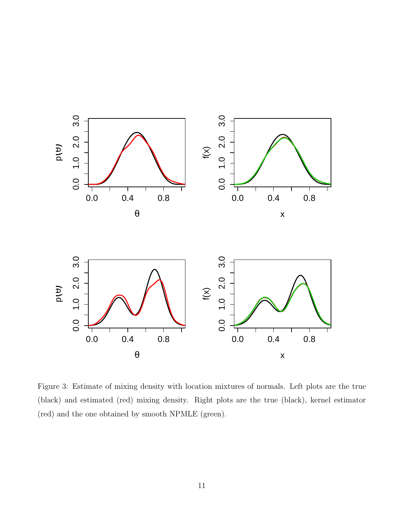

<span id="page-10-0"></span>Figure 3: Estimate of mixing density with location mixtures of normals. Left plots are the true (black) and estimated (red) mixing density. Right plots are the true (black), kernel estimator (red) and the one obtained by smooth NPMLE (green).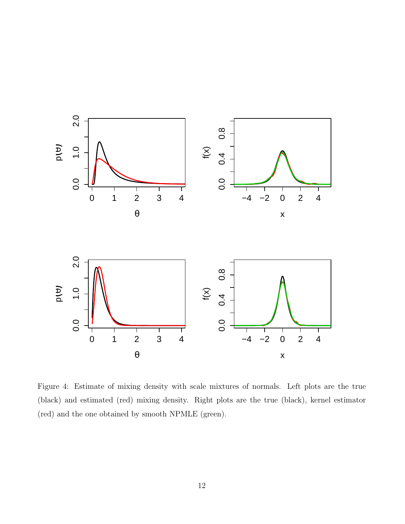

<span id="page-11-0"></span>Figure 4: Estimate of mixing density with scale mixtures of normals. Left plots are the true (black) and estimated (red) mixing density. Right plots are the true (black), kernel estimator (red) and the one obtained by smooth NPMLE (green).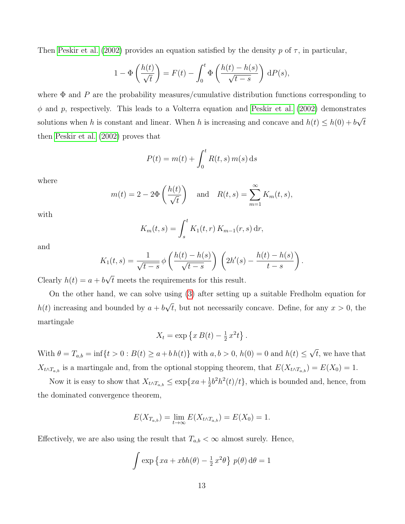Then [Peskir et al. \(2002\)](#page-20-8) provides an equation satisfied by the density p of  $\tau$ , in particular,

$$
1 - \Phi\left(\frac{h(t)}{\sqrt{t}}\right) = F(t) - \int_0^t \Phi\left(\frac{h(t) - h(s)}{\sqrt{t - s}}\right) dP(s),
$$

where  $\Phi$  and P are the probability measures/cumulative distribution functions corresponding to  $\phi$  and p, respectively. This leads to a Volterra equation and [Peskir et al. \(2002\)](#page-20-8) demonstrates solutions when h is constant and linear. When h is increasing and concave and  $h(t) \leq h(0) + b$ √ t then [Peskir et al. \(2002\)](#page-20-8) proves that

$$
P(t) = m(t) + \int_0^t R(t, s) m(s) ds
$$

where

$$
m(t) = 2 - 2\Phi\left(\frac{h(t)}{\sqrt{t}}\right)
$$
 and  $R(t, s) = \sum_{m=1}^{\infty} K_m(t, s),$ 

with

$$
K_m(t,s) = \int_s^t K_1(t,r) \, K_{m-1}(r,s) \, dr,
$$

and

$$
K_1(t,s) = \frac{1}{\sqrt{t-s}} \phi\left(\frac{h(t)-h(s)}{\sqrt{t-s}}\right) \left(2h'(s) - \frac{h(t)-h(s)}{t-s}\right).
$$

Clearly  $h(t) = a + b$ t meets the requirements for this result.

On the other hand, we can solve using [\(3\)](#page-2-0) after setting up a suitable Fredholm equation for  $h(t)$  increasing and bounded by  $a + b$ √ t, but not necessarily concave. Define, for any  $x > 0$ , the martingale

$$
X_t = \exp\left\{x B(t) - \frac{1}{2}x^2 t\right\}.
$$

With  $\theta = T_{a,b} = \inf\{t > 0 : B(t) \ge a + bh(t)\}\$  with  $a, b > 0, h(0) = 0$  and  $h(t) \le$ √  $t$ , we have that  $X_{t\wedge T_{a,b}}$  is a martingale and, from the optional stopping theorem, that  $E(X_{t\wedge T_{a,b}}) = E(X_0) = 1$ .

Now it is easy to show that  $X_{t \wedge T_{a,b}} \leq \exp\{xa + \frac{1}{2}\}$  $\frac{1}{2}b^2h^2(t)/t$ , which is bounded and, hence, from the dominated convergence theorem,

$$
E(X_{T_{a,b}}) = \lim_{t \to \infty} E(X_{t \wedge T_{a,b}}) = E(X_0) = 1.
$$

Effectively, we are also using the result that  $T_{a,b} < \infty$  almost surely. Hence,

$$
\int \exp\left\{xa + xbh(\theta) - \frac{1}{2}x^2\theta\right\} p(\theta) d\theta = 1
$$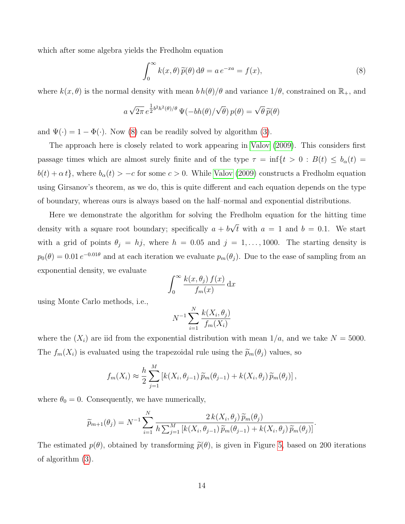which after some algebra yields the Fredholm equation

<span id="page-13-0"></span>
$$
\int_0^\infty k(x,\theta)\,\widetilde{p}(\theta)\,\mathrm{d}\theta = a\,e^{-xa} = f(x),\tag{8}
$$

where  $k(x, \theta)$  is the normal density with mean  $b h(\theta)/\theta$  and variance  $1/\theta$ , constrained on  $\mathbb{R}_+$ , and

$$
a\sqrt{2\pi} e^{\frac{1}{2}b^2h^2(\theta)/\theta} \Psi(-bh(\theta)/\sqrt{\theta}) p(\theta) = \sqrt{\theta} \widetilde{p}(\theta)
$$

and  $\Psi(\cdot) = 1 - \Phi(\cdot)$ . Now [\(8\)](#page-13-0) can be readily solved by algorithm [\(3\)](#page-2-0).

The approach here is closely related to work appearing in [Valov \(2009\)](#page-20-9). This considers first passage times which are almost surely finite and of the type  $\tau = \inf\{t > 0 : B(t) \le b_\alpha(t)\}$  $b(t) + \alpha t$ , where  $b_{\alpha}(t) > -c$  for some  $c > 0$ . While [Valov \(2009\)](#page-20-9) constructs a Fredholm equation using Girsanov's theorem, as we do, this is quite different and each equation depends on the type of boundary, whereas ours is always based on the half–normal and exponential distributions.

Here we demonstrate the algorithm for solving the Fredholm equation for the hitting time density with a square root boundary; specifically  $a + b$ √ t with  $a = 1$  and  $b = 0.1$ . We start with a grid of points  $\theta_j = hj$ , where  $h = 0.05$  and  $j = 1, ..., 1000$ . The starting density is  $p_0(\theta) = 0.01 e^{-0.01\theta}$  and at each iteration we evaluate  $p_m(\theta_j)$ . Due to the ease of sampling from an exponential density, we evaluate

$$
\int_0^\infty \frac{k(x,\theta_j) f(x)}{f_m(x)} dx
$$

using Monte Carlo methods, i.e.,

$$
N^{-1} \sum_{i=1}^{N} \frac{k(X_i, \theta_j)}{f_m(X_i)}
$$

where the  $(X_i)$  are iid from the exponential distribution with mean  $1/a$ , and we take  $N = 5000$ . The  $f_m(X_i)$  is evaluated using the trapezoidal rule using the  $\widetilde{p}_m(\theta_j)$  values, so

$$
f_m(X_i) \approx \frac{h}{2} \sum_{j=1}^M \left[ k(X_i, \theta_{j-1}) \widetilde{p}_m(\theta_{j-1}) + k(X_i, \theta_j) \widetilde{p}_m(\theta_j) \right],
$$

where  $\theta_0 = 0$ . Consequently, we have numerically,

$$
\widetilde{p}_{m+1}(\theta_j) = N^{-1} \sum_{i=1}^N \frac{2 k(X_i, \theta_j) \widetilde{p}_m(\theta_j)}{h \sum_{j=1}^M \left[ k(X_i, \theta_{j-1}) \widetilde{p}_m(\theta_{j-1}) + k(X_i, \theta_j) \widetilde{p}_m(\theta_j) \right]}.
$$

The estimated  $p(\theta)$ , obtained by transforming  $\tilde{p}(\theta)$ , is given in Figure [5,](#page-14-0) based on 200 iterations of algorithm [\(3\)](#page-2-0).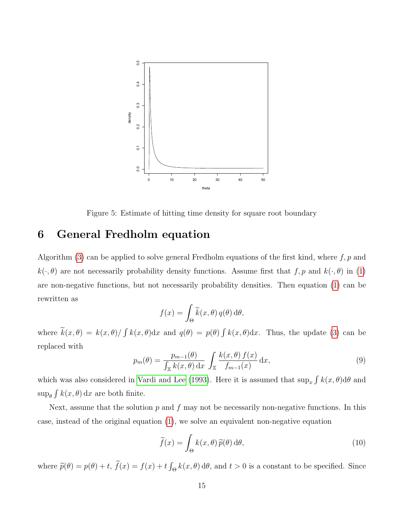

<span id="page-14-0"></span>Figure 5: Estimate of hitting time density for square root boundary

# 6 General Fredholm equation

Algorithm [\(3\)](#page-2-0) can be applied to solve general Fredholm equations of the first kind, where  $f, p$  and  $k(\cdot, \theta)$  are not necessarily probability density functions. Assume first that  $f, p$  and  $k(\cdot, \theta)$  in [\(1\)](#page-1-0) are non-negative functions, but not necessarily probability densities. Then equation [\(1\)](#page-1-0) can be rewritten as

$$
f(x) = \int_{\Theta} \widetilde{k}(x,\theta) q(\theta) d\theta,
$$

where  $k(x, \theta) = k(x, \theta) / \int k(x, \theta) dx$  and  $q(\theta) = p(\theta) \int k(x, \theta) dx$ . Thus, the update [\(3\)](#page-2-0) can be replaced with

$$
p_m(\theta) = \frac{p_{m-1}(\theta)}{\int_{\mathbb{X}} k(x,\theta) dx} \int_{\mathbb{X}} \frac{k(x,\theta) f(x)}{f_{m-1}(x)} dx,
$$
\n(9)

which was also considered in [Vardi and Lee \(1993\)](#page-21-1). Here it is assumed that  $\sup_x \int k(x,\theta)d\theta$  and  $\sup_{\theta} \int k(x, \theta) dx$  are both finite.

Next, assume that the solution  $p$  and  $f$  may not be necessarily non-negative functions. In this case, instead of the original equation [\(1\)](#page-1-0), we solve an equivalent non-negative equation

<span id="page-14-1"></span>
$$
\widetilde{f}(x) = \int_{\Theta} k(x,\theta) \, \widetilde{p}(\theta) \, \mathrm{d}\theta,\tag{10}
$$

where  $\tilde{p}(\theta) = p(\theta) + t$ ,  $f(x) = f(x) + t \int_{\Theta} k(x, \theta) d\theta$ , and  $t > 0$  is a constant to be specified. Since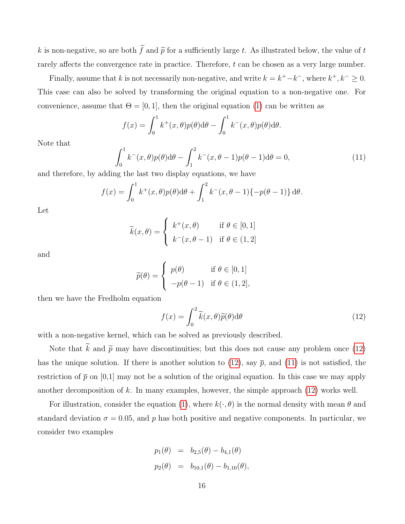k is non-negative, so are both  $\tilde{f}$  and  $\tilde{p}$  for a sufficiently large t. As illustrated below, the value of t rarely affects the convergence rate in practice. Therefore, t can be chosen as a very large number.

Finally, assume that k is not necessarily non-negative, and write  $k = k^+ - k^-$ , where  $k^+, k^- \geq 0$ . This case can also be solved by transforming the original equation to a non-negative one. For convenience, assume that  $\Theta = [0, 1]$ , then the original equation [\(1\)](#page-1-0) can be written as

$$
f(x) = \int_0^1 k^+(x,\theta)p(\theta)d\theta - \int_0^1 k^-(x,\theta)p(\theta)d\theta.
$$

Note that

<span id="page-15-1"></span>
$$
\int_0^1 k^-(x,\theta)p(\theta)d\theta - \int_1^2 k^-(x,\theta-1)p(\theta-1)d\theta = 0,
$$
\n(11)

and therefore, by adding the last two display equations, we have

$$
f(x) = \int_0^1 k^+(x,\theta)p(\theta)d\theta + \int_1^2 k^-(x,\theta-1)\{-p(\theta-1)\}d\theta.
$$

Let

$$
\widetilde{k}(x,\theta) = \begin{cases}\nk^+(x,\theta) & \text{if } \theta \in [0,1] \\
k^-(x,\theta-1) & \text{if } \theta \in (1,2]\n\end{cases}
$$

and

$$
\widetilde{p}(\theta) = \begin{cases} p(\theta) & \text{if } \theta \in [0,1] \\ -p(\theta - 1) & \text{if } \theta \in (1,2], \end{cases}
$$

then we have the Fredholm equation

<span id="page-15-0"></span>
$$
f(x) = \int_0^2 \widetilde{k}(x,\theta)\widetilde{p}(\theta)d\theta
$$
 (12)

with a non-negative kernel, which can be solved as previously described.

Note that  $\tilde{k}$  and  $\tilde{p}$  may have discontinuities; but this does not cause any problem once [\(12\)](#page-15-0) has the unique solution. If there is another solution to [\(12\)](#page-15-0), say  $\bar{p}$ , and [\(11\)](#page-15-1) is not satisfied, the restriction of  $\bar{p}$  on [0,1] may not be a solution of the original equation. In this case we may apply another decomposition of k. In many examples, however, the simple approach  $(12)$  works well.

For illustration, consider the equation [\(1\)](#page-1-0), where  $k(\cdot, \theta)$  is the normal density with mean  $\theta$  and standard deviation  $\sigma = 0.05$ , and p has both positive and negative components. In particular, we consider two examples

$$
p_1(\theta) = b_{2,5}(\theta) - b_{4,1}(\theta)
$$
  

$$
p_2(\theta) = b_{10,1}(\theta) - b_{1,10}(\theta),
$$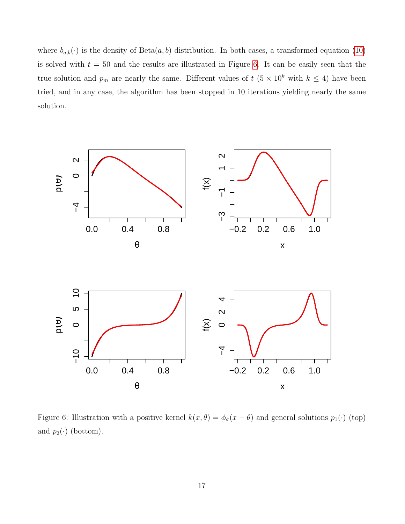where  $b_{a,b}(\cdot)$  is the density of Beta $(a, b)$  distribution. In both cases, a transformed equation [\(10\)](#page-14-1) is solved with  $t = 50$  and the results are illustrated in Figure [6.](#page-16-0) It can be easily seen that the true solution and  $p_m$  are nearly the same. Different values of  $t$  (5 × 10<sup>k</sup> with  $k \leq 4$ ) have been tried, and in any case, the algorithm has been stopped in 10 iterations yielding nearly the same solution.



<span id="page-16-0"></span>Figure 6: Illustration with a positive kernel  $k(x, \theta) = \phi_{\sigma}(x - \theta)$  and general solutions  $p_1(\cdot)$  (top) and  $p_2(\cdot)$  (bottom).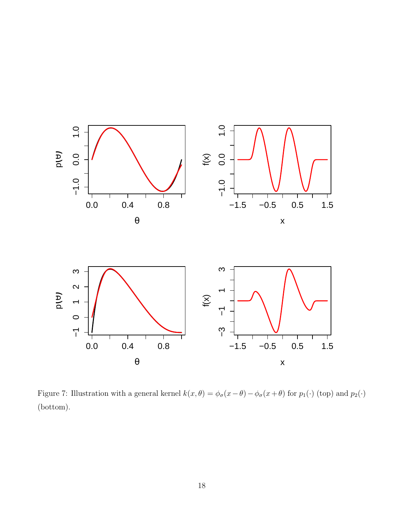

<span id="page-17-0"></span>Figure 7: Illustration with a general kernel  $k(x, \theta) = \phi_{\sigma}(x-\theta) - \phi_{\sigma}(x+\theta)$  for  $p_1(\cdot)$  (top) and  $p_2(\cdot)$ (bottom).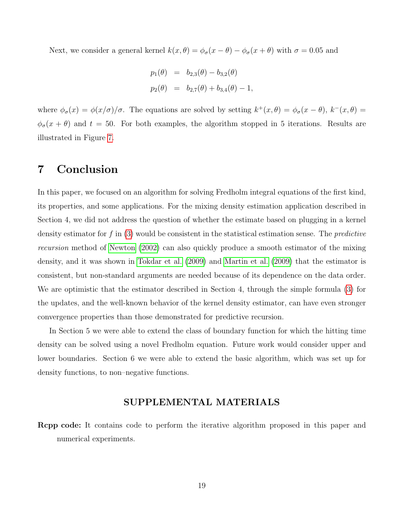Next, we consider a general kernel  $k(x, \theta) = \phi_{\sigma}(x - \theta) - \phi_{\sigma}(x + \theta)$  with  $\sigma = 0.05$  and

$$
p_1(\theta) = b_{2,3}(\theta) - b_{3,2}(\theta)
$$
  

$$
p_2(\theta) = b_{2,7}(\theta) + b_{3,4}(\theta) - 1,
$$

where  $\phi_{\sigma}(x) = \phi(x/\sigma)/\sigma$ . The equations are solved by setting  $k^+(x,\theta) = \phi_{\sigma}(x-\theta)$ ,  $k^-(x,\theta) =$  $\phi_{\sigma}(x+\theta)$  and  $t=50$ . For both examples, the algorithm stopped in 5 iterations. Results are illustrated in Figure [7.](#page-17-0)

# 7 Conclusion

In this paper, we focused on an algorithm for solving Fredholm integral equations of the first kind, its properties, and some applications. For the mixing density estimation application described in Section 4, we did not address the question of whether the estimate based on plugging in a kernel density estimator for f in  $(3)$  would be consistent in the statistical estimation sense. The *predictive* recursion method of [Newton \(2002\)](#page-20-10) can also quickly produce a smooth estimator of the mixing density, and it was shown in [Tokdar et al. \(2009\)](#page-20-11) and [Martin et al. \(2009\)](#page-20-12) that the estimator is consistent, but non-standard arguments are needed because of its dependence on the data order. We are optimistic that the estimator described in Section 4, through the simple formula [\(3\)](#page-2-0) for the updates, and the well-known behavior of the kernel density estimator, can have even stronger convergence properties than those demonstrated for predictive recursion.

In Section 5 we were able to extend the class of boundary function for which the hitting time density can be solved using a novel Fredholm equation. Future work would consider upper and lower boundaries. Section 6 we were able to extend the basic algorithm, which was set up for density functions, to non–negative functions.

#### SUPPLEMENTAL MATERIALS

Rcpp code: It contains code to perform the iterative algorithm proposed in this paper and numerical experiments.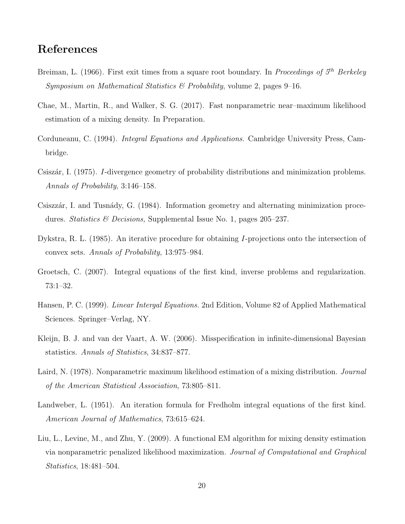# References

- <span id="page-19-11"></span>Breiman, L. (1966). First exit times from a square root boundary. In Proceedings of  $5<sup>th</sup>$  Berkeley Symposium on Mathematical Statistics  $\mathcal{C}$  Probability, volume 2, pages 9–16.
- <span id="page-19-6"></span>Chae, M., Martin, R., and Walker, S. G. (2017). Fast nonparametric near–maximum likelihood estimation of a mixing density. In Preparation.
- <span id="page-19-0"></span>Corduneanu, C. (1994). Integral Equations and Applications. Cambridge University Press, Cambridge.
- <span id="page-19-8"></span>Csiszár, I. (1975). I-divergence geometry of probability distributions and minimization problems. Annals of Probability, 3:146–158.
- <span id="page-19-4"></span>Csiszzár, I. and Tusnády, G. (1984). Information geometry and alternating minimization procedures. Statistics & Decisions, Supplemental Issue No. 1, pages 205–237.
- <span id="page-19-9"></span>Dykstra, R. L. (1985). An iterative procedure for obtaining I-projections onto the intersection of convex sets. Annals of Probability, 13:975–984.
- <span id="page-19-1"></span>Groetsch, C. (2007). Integral equations of the first kind, inverse problems and regularization. 73:1–32.
- <span id="page-19-2"></span>Hansen, P. C. (1999). Linear Intergal Equations. 2nd Edition, Volume 82 of Applied Mathematical Sciences. Springer–Verlag, NY.
- <span id="page-19-7"></span>Kleijn, B. J. and van der Vaart, A. W. (2006). Misspecification in infinite-dimensional Bayesian statistics. Annals of Statistics, 34:837–877.
- <span id="page-19-5"></span>Laird, N. (1978). Nonparametric maximum likelihood estimation of a mixing distribution. *Journal* of the American Statistical Association, 73:805–811.
- <span id="page-19-3"></span>Landweber, L. (1951). An iteration formula for Fredholm integral equations of the first kind. American Journal of Mathematics, 73:615–624.
- <span id="page-19-10"></span>Liu, L., Levine, M., and Zhu, Y. (2009). A functional EM algorithm for mixing density estimation via nonparametric penalized likelihood maximization. Journal of Computational and Graphical Statistics, 18:481–504.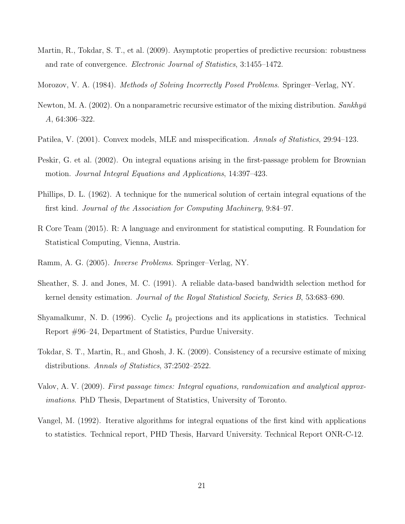<span id="page-20-12"></span>Martin, R., Tokdar, S. T., et al. (2009). Asymptotic properties of predictive recursion: robustness and rate of convergence. Electronic Journal of Statistics, 3:1455–1472.

<span id="page-20-2"></span>Morozov, V. A. (1984). *Methods of Solving Incorrectly Posed Problems*. Springer–Verlag, NY.

- <span id="page-20-10"></span>Newton, M. A. (2002). On a nonparametric recursive estimator of the mixing distribution.  $Sankhy\bar{a}$ A, 64:306–322.
- <span id="page-20-5"></span>Patilea, V. (2001). Convex models, MLE and misspecification. Annals of Statistics, 29:94–123.
- <span id="page-20-8"></span>Peskir, G. et al. (2002). On integral equations arising in the first-passage problem for Brownian motion. Journal Integral Equations and Applications, 14:397–423.
- <span id="page-20-3"></span>Phillips, D. L. (1962). A technique for the numerical solution of certain integral equations of the first kind. Journal of the Association for Computing Machinery, 9:84–97.
- <span id="page-20-7"></span>R Core Team (2015). R: A language and environment for statistical computing. R Foundation for Statistical Computing, Vienna, Austria.
- <span id="page-20-0"></span>Ramm, A. G. (2005). Inverse Problems. Springer–Verlag, NY.
- <span id="page-20-6"></span>Sheather, S. J. and Jones, M. C. (1991). A reliable data-based bandwidth selection method for kernel density estimation. Journal of the Royal Statistical Society, Series B, 53:683–690.
- <span id="page-20-4"></span>Shyamalkumr, N. D. (1996). Cyclic  $I_0$  projections and its applications in statistics. Technical Report #96–24, Department of Statistics, Purdue University.
- <span id="page-20-11"></span>Tokdar, S. T., Martin, R., and Ghosh, J. K. (2009). Consistency of a recursive estimate of mixing distributions. Annals of Statistics, 37:2502–2522.
- <span id="page-20-9"></span>Valov, A. V. (2009). First passage times: Integral equations, randomization and analytical approximations. PhD Thesis, Department of Statistics, University of Toronto.
- <span id="page-20-1"></span>Vangel, M. (1992). Iterative algorithms for integral equations of the first kind with applications to statistics. Technical report, PHD Thesis, Harvard University. Technical Report ONR-C-12.